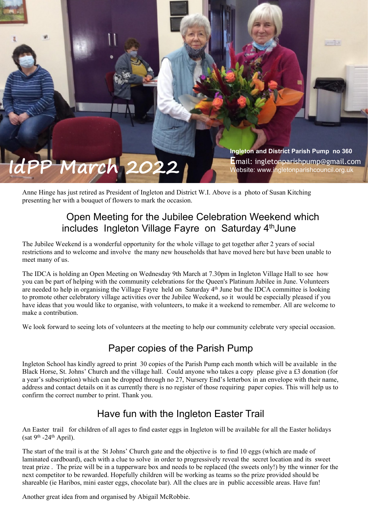

Anne Hinge has just retired as President of Ingleton and District W.I. Above is a photo of Susan Kitching presenting her with a bouquet of flowers to mark the occasion.

# Open Meeting for the Jubilee Celebration Weekend which includes Ingleton Village Fayre on Saturday 4<sup>th</sup>June

The Jubilee Weekend is a wonderful opportunity for the whole village to get together after 2 years of social restrictions and to welcome and involve the many new households that have moved here but have been unable to meet many of us.

The IDCA is holding an Open Meeting on Wednesday 9th March at 7.30pm in Ingleton Village Hall to see how you can be part of helping with the community celebrations for the Queen's Platinum Jubilee in June. Volunteers are needed to help in organising the Village Fayre held on Saturday 4th June but the IDCA committee is looking to promote other celebratory village activities over the Jubilee Weekend, so it would be especially pleased if you have ideas that you would like to organise, with volunteers, to make it a weekend to remember. All are welcome to make a contribution.

We look forward to seeing lots of volunteers at the meeting to help our community celebrate very special occasion.

# Paper copies of the Parish Pump

Ingleton School has kindly agreed to print 30 copies of the Parish Pump each month which will be available in the Black Horse, St. Johns' Church and the village hall. Could anyone who takes a copy please give a £3 donation (for a year's subscription) which can be dropped through no 27, Nursery End's letterbox in an envelope with their name, address and contact details on it as currently there is no register of those requiring paper copies. This will help us to confirm the correct number to print. Thank you.

# Have fun with the Ingleton Easter Trail

An Easter trail for children of all ages to find easter eggs in Ingleton will be available for all the Easter holidays (sat 9<sup>th</sup> -24<sup>th</sup> April).

The start of the trail is at the St Johns' Church gate and the objective is to find 10 eggs (which are made of laminated cardboard), each with a clue to solve in order to progressively reveal the secret location and its sweet treat prize . The prize will be in a tupperware box and needs to be replaced (the sweets only!) by tthe winner for the next competitor to be rewarded. Hopefully children will be working as teams so the prize provided should be shareable (ie Haribos, mini easter eggs, chocolate bar). All the clues are in public accessible areas. Have fun!

Another great idea from and organised by Abigail McRobbie.